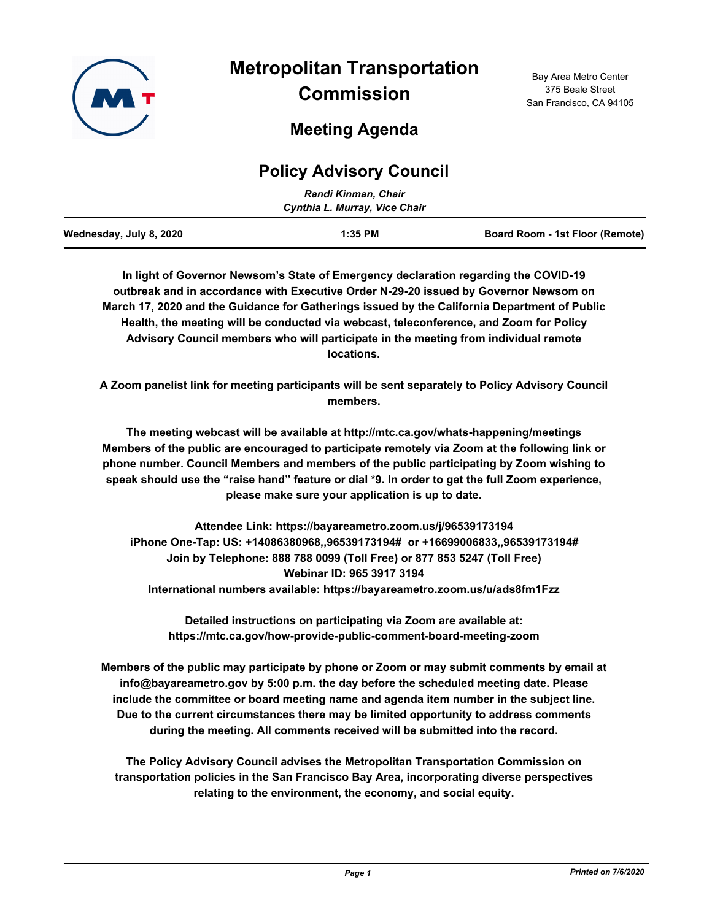

# **Policy Advisory Council**

| Randi Kinman, Chair           |           |                                 |  |  |
|-------------------------------|-----------|---------------------------------|--|--|
| Cynthia L. Murray, Vice Chair |           |                                 |  |  |
| Wednesday, July 8, 2020       | $1:35$ PM | Board Room - 1st Floor (Remote) |  |  |

**In light of Governor Newsom's State of Emergency declaration regarding the COVID-19 outbreak and in accordance with Executive Order N-29-20 issued by Governor Newsom on March 17, 2020 and the Guidance for Gatherings issued by the California Department of Public Health, the meeting will be conducted via webcast, teleconference, and Zoom for Policy Advisory Council members who will participate in the meeting from individual remote locations.**

**A Zoom panelist link for meeting participants will be sent separately to Policy Advisory Council members.**

**The meeting webcast will be available at http://mtc.ca.gov/whats-happening/meetings Members of the public are encouraged to participate remotely via Zoom at the following link or phone number. Council Members and members of the public participating by Zoom wishing to speak should use the "raise hand" feature or dial \*9. In order to get the full Zoom experience, please make sure your application is up to date.**

**Attendee Link: https://bayareametro.zoom.us/j/96539173194 iPhone One-Tap: US: +14086380968,,96539173194# or +16699006833,,96539173194# Join by Telephone: 888 788 0099 (Toll Free) or 877 853 5247 (Toll Free) Webinar ID: 965 3917 3194 International numbers available: https://bayareametro.zoom.us/u/ads8fm1Fzz**

**Detailed instructions on participating via Zoom are available at: https://mtc.ca.gov/how-provide-public-comment-board-meeting-zoom**

**Members of the public may participate by phone or Zoom or may submit comments by email at info@bayareametro.gov by 5:00 p.m. the day before the scheduled meeting date. Please include the committee or board meeting name and agenda item number in the subject line. Due to the current circumstances there may be limited opportunity to address comments during the meeting. All comments received will be submitted into the record.**

**The Policy Advisory Council advises the Metropolitan Transportation Commission on transportation policies in the San Francisco Bay Area, incorporating diverse perspectives relating to the environment, the economy, and social equity.**

Bay Area Metro Center 375 Beale Street San Francisco, CA 94105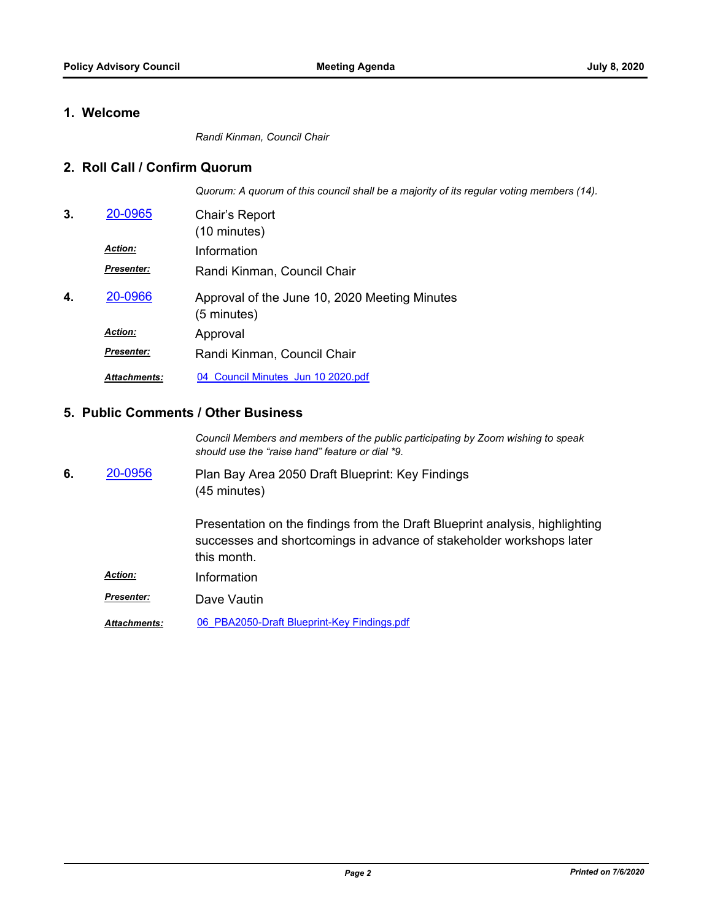### **1. Welcome**

*Randi Kinman, Council Chair*

#### **2. Roll Call / Confirm Quorum**

*Quorum: A quorum of this council shall be a majority of its regular voting members (14).*

| 3. | 20-0965             | Chair's Report<br>(10 minutes)                               |
|----|---------------------|--------------------------------------------------------------|
|    | <b>Action:</b>      | Information                                                  |
|    | <b>Presenter:</b>   | Randi Kinman, Council Chair                                  |
| 4. | 20-0966             | Approval of the June 10, 2020 Meeting Minutes<br>(5 minutes) |
|    | <b>Action:</b>      | Approval                                                     |
|    | <b>Presenter:</b>   | Randi Kinman, Council Chair                                  |
|    | <b>Attachments:</b> | 04 Council Minutes Jun 10 2020.pdf                           |

#### **5. Public Comments / Other Business**

*Council Members and members of the public participating by Zoom wishing to speak should use the "raise hand" feature or dial \*9.*

Plan Bay Area 2050 Draft Blueprint: Key Findings (45 minutes) **6.** [20-0956](http://mtc.legistar.com/gateway.aspx?m=l&id=/matter.aspx?key=20820)

> Presentation on the findings from the Draft Blueprint analysis, highlighting successes and shortcomings in advance of stakeholder workshops later this month.

- *Action:* Information
- *Presenter:* Dave Vautin

*Attachments:* [06\\_PBA2050-Draft Blueprint-Key Findings.pdf](http://mtc.legistar.com/gateway.aspx?M=F&ID=ec3417b7-d0de-407a-b206-5f0d67095250.pdf)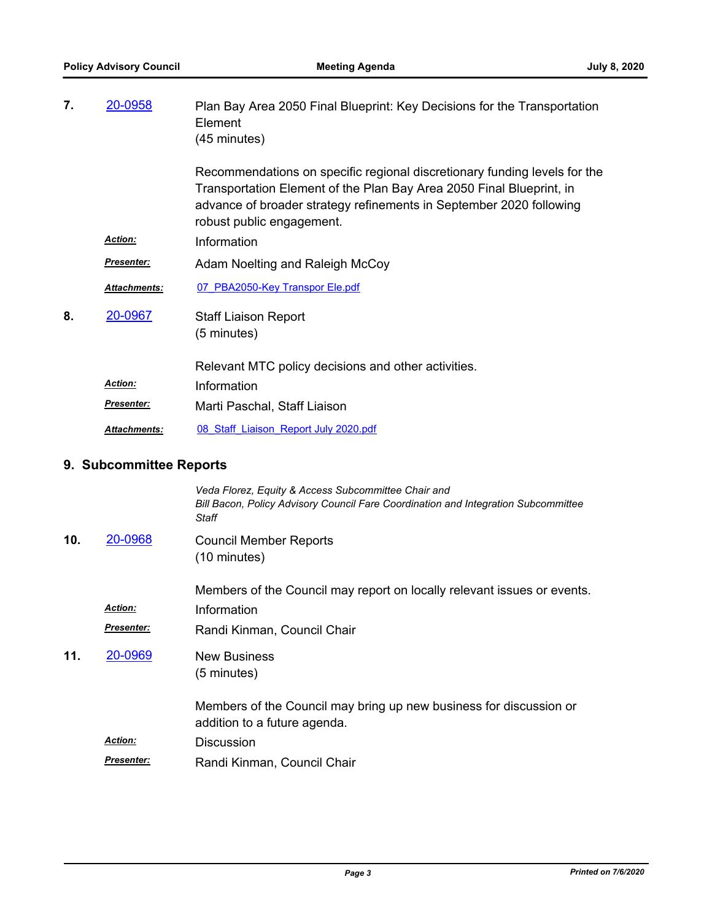| 20-0958             | Plan Bay Area 2050 Final Blueprint: Key Decisions for the Transportation<br>Element<br>(45 minutes)                                                                                                                                                   |
|---------------------|-------------------------------------------------------------------------------------------------------------------------------------------------------------------------------------------------------------------------------------------------------|
|                     | Recommendations on specific regional discretionary funding levels for the<br>Transportation Element of the Plan Bay Area 2050 Final Blueprint, in<br>advance of broader strategy refinements in September 2020 following<br>robust public engagement. |
| Action:             | Information                                                                                                                                                                                                                                           |
| <u>Presenter:</u>   | Adam Noelting and Raleigh McCoy                                                                                                                                                                                                                       |
| <b>Attachments:</b> | 07 PBA2050-Key Transpor Ele.pdf                                                                                                                                                                                                                       |
| 20-0967             | <b>Staff Liaison Report</b><br>(5 minutes)                                                                                                                                                                                                            |
|                     | Relevant MTC policy decisions and other activities.                                                                                                                                                                                                   |
| <u>Action:</u>      | Information                                                                                                                                                                                                                                           |
| <u>Presenter:</u>   | Marti Paschal, Staff Liaison                                                                                                                                                                                                                          |
| Attachments:        | 08 Staff Liaison Report July 2020.pdf                                                                                                                                                                                                                 |
|                     |                                                                                                                                                                                                                                                       |
|                     | Veda Florez, Equity & Access Subcommittee Chair and<br>Bill Bacon, Policy Advisory Council Fare Coordination and Integration Subcommittee<br><b>Staff</b>                                                                                             |
| 20-0968             | <b>Council Member Reports</b><br>(10 minutes)                                                                                                                                                                                                         |
| <u>Action:</u>      | Members of the Council may report on locally relevant issues or events.<br>Information                                                                                                                                                                |
|                     | 9. Subcommittee Reports                                                                                                                                                                                                                               |

Randi Kinman, Council Chair *Presenter:*

New Business (5 minutes) **11.** [20-0969](http://mtc.legistar.com/gateway.aspx?m=l&id=/matter.aspx?key=20833)

> Members of the Council may bring up new business for discussion or addition to a future agenda.

- *Action:* Discussion
- Randi Kinman, Council Chair *Presenter:*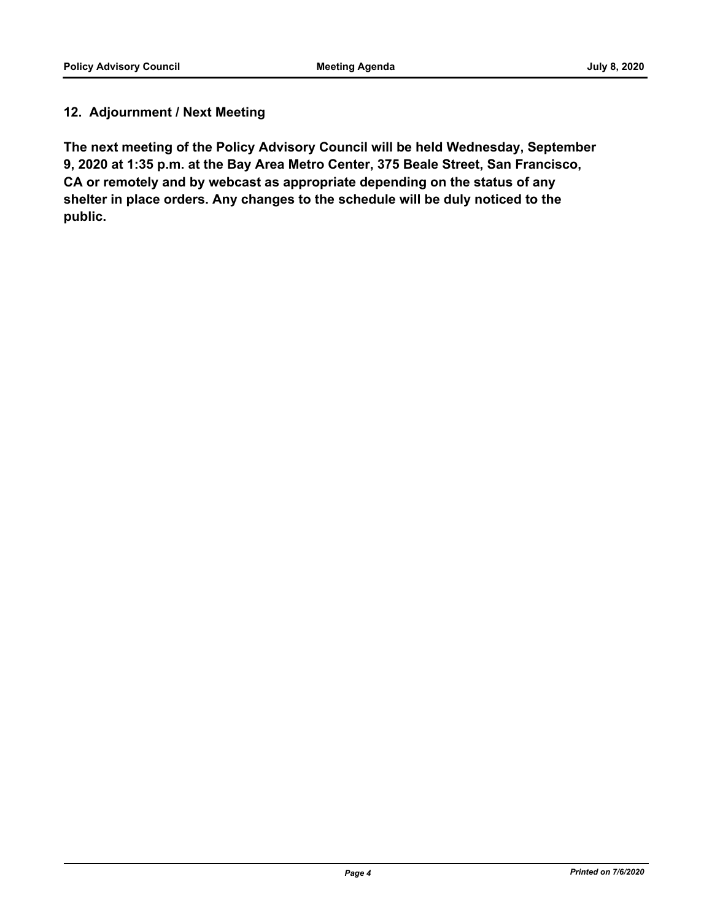## **12. Adjournment / Next Meeting**

**The next meeting of the Policy Advisory Council will be held Wednesday, September 9, 2020 at 1:35 p.m. at the Bay Area Metro Center, 375 Beale Street, San Francisco, CA or remotely and by webcast as appropriate depending on the status of any shelter in place orders. Any changes to the schedule will be duly noticed to the public.**